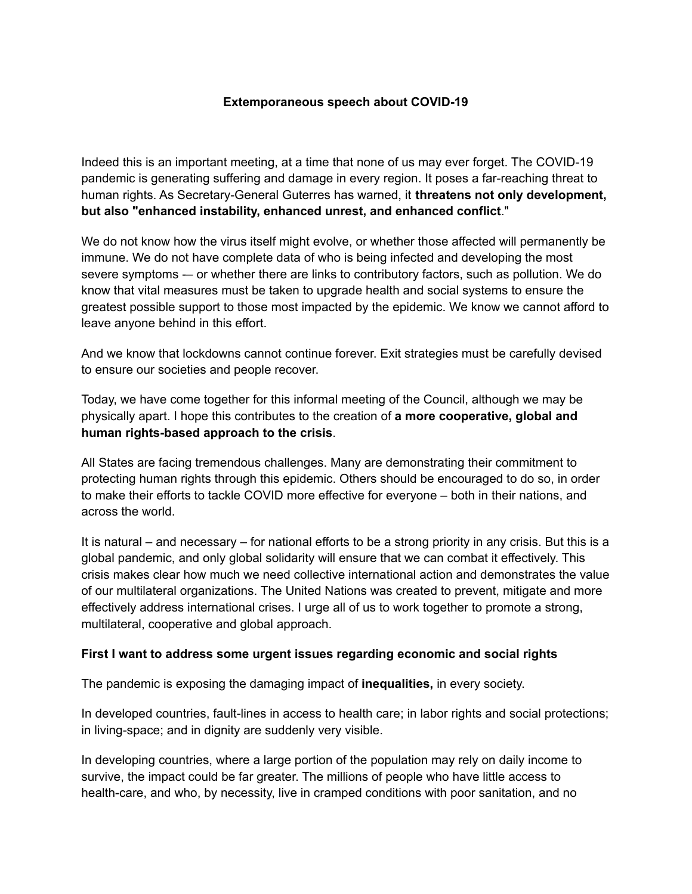## **Extemporaneous speech about COVID-19**

Indeed this is an important meeting, at a time that none of us may ever forget. The COVID-19 pandemic is generating suffering and damage in every region. It poses a far-reaching threat to human rights. As Secretary-General Guterres has warned, it **threatens not only development, but also "enhanced instability, enhanced unrest, and enhanced conflict**."

We do not know how the virus itself might evolve, or whether those affected will permanently be immune. We do not have complete data of who is being infected and developing the most severe symptoms -- or whether there are links to contributory factors, such as pollution. We do know that vital measures must be taken to upgrade health and social systems to ensure the greatest possible support to those most impacted by the epidemic. We know we cannot afford to leave anyone behind in this effort.

And we know that lockdowns cannot continue forever. Exit strategies must be carefully devised to ensure our societies and people recover.

Today, we have come together for this informal meeting of the Council, although we may be physically apart. I hope this contributes to the creation of **a more cooperative, global and human rights-based approach to the crisis**.

All States are facing tremendous challenges. Many are demonstrating their commitment to protecting human rights through this epidemic. Others should be encouraged to do so, in order to make their efforts to tackle COVID more effective for everyone – both in their nations, and across the world.

It is natural – and necessary – for national efforts to be a strong priority in any crisis. But this is a global pandemic, and only global solidarity will ensure that we can combat it effectively. This crisis makes clear how much we need collective international action and demonstrates the value of our multilateral organizations. The United Nations was created to prevent, mitigate and more effectively address international crises. I urge all of us to work together to promote a strong, multilateral, cooperative and global approach.

## **First I want to address some urgent issues regarding economic and social rights**

The pandemic is exposing the damaging impact of **inequalities,** in every society.

In developed countries, fault-lines in access to health care; in labor rights and social protections; in living-space; and in dignity are suddenly very visible.

In developing countries, where a large portion of the population may rely on daily income to survive, the impact could be far greater. The millions of people who have little access to health-care, and who, by necessity, live in cramped conditions with poor sanitation, and no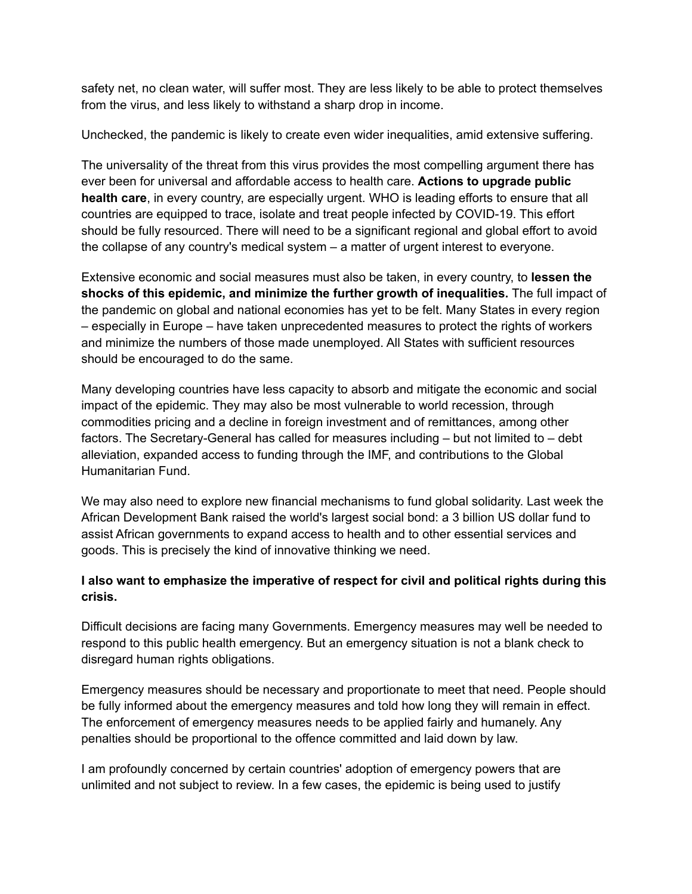safety net, no clean water, will suffer most. They are less likely to be able to protect themselves from the virus, and less likely to withstand a sharp drop in income.

Unchecked, the pandemic is likely to create even wider inequalities, amid extensive suffering.

The universality of the threat from this virus provides the most compelling argument there has ever been for universal and affordable access to health care. **Actions to upgrade public health care**, in every country, are especially urgent. WHO is leading efforts to ensure that all countries are equipped to trace, isolate and treat people infected by COVID-19. This effort should be fully resourced. There will need to be a significant regional and global effort to avoid the collapse of any country's medical system – a matter of urgent interest to everyone.

Extensive economic and social measures must also be taken, in every country, to **lessen the shocks of this epidemic, and minimize the further growth of inequalities.** The full impact of the pandemic on global and national economies has yet to be felt. Many States in every region – especially in Europe – have taken unprecedented measures to protect the rights of workers and minimize the numbers of those made unemployed. All States with sufficient resources should be encouraged to do the same.

Many developing countries have less capacity to absorb and mitigate the economic and social impact of the epidemic. They may also be most vulnerable to world recession, through commodities pricing and a decline in foreign investment and of remittances, among other factors. The Secretary-General has called for measures including – but not limited to – debt alleviation, expanded access to funding through the IMF, and contributions to the Global Humanitarian Fund.

We may also need to explore new financial mechanisms to fund global solidarity. Last week the African Development Bank raised the world's largest social bond: a 3 billion US dollar fund to assist African governments to expand access to health and to other essential services and goods. This is precisely the kind of innovative thinking we need.

## **I also want to emphasize the imperative of respect for civil and political rights during this crisis.**

Difficult decisions are facing many Governments. Emergency measures may well be needed to respond to this public health emergency. But an emergency situation is not a blank check to disregard human rights obligations.

Emergency measures should be necessary and proportionate to meet that need. People should be fully informed about the emergency measures and told how long they will remain in effect. The enforcement of emergency measures needs to be applied fairly and humanely. Any penalties should be proportional to the offence committed and laid down by law.

I am profoundly concerned by certain countries' adoption of emergency powers that are unlimited and not subject to review. In a few cases, the epidemic is being used to justify